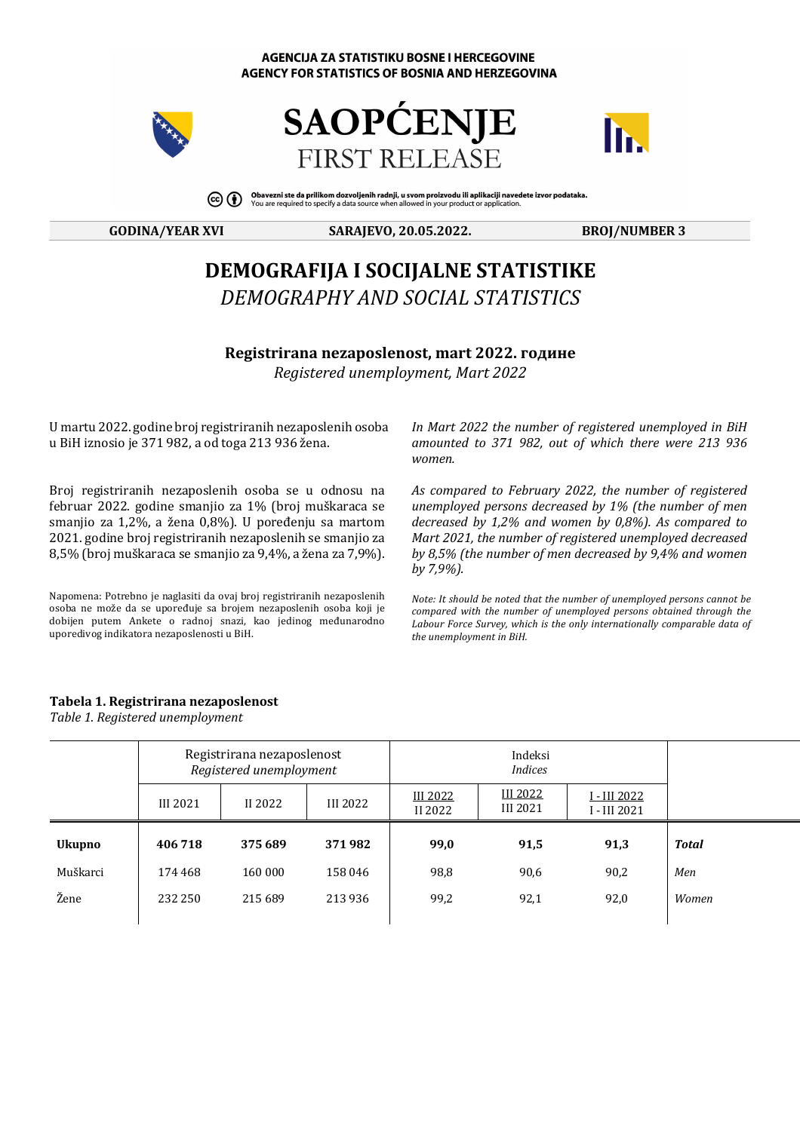#### **AGENCIJA ZA STATISTIKU BOSNE I HERCEGOVINE** AGENCY FOR STATISTICS OF BOSNIA AND HERZEGOVINA







Obavezni ste da prilikom dozvoljenih radnji, u svom proizvodu ili aplikaciji navedete izvor podataka.<br>You are required to specify a data source when allowed in your product or application.  $\circledcirc$  (i)

#### **GODINA/YEAR XVI SARAJEVO, 20.05.2022. BROJ/NUMBER 3**

# **DEMOGRAFIJA I SOCIJALNE STATISTIKE** *DEMOGRAPHY AND SOCIAL STATISTICS*

**Registrirana nezaposlenost, mart 2022. године** *Registered unemployment, Mart 2022*

U martu 2022. godine broj registriranih nezaposlenih osoba u BiH iznosio je 371 982, a od toga 213 936 žena.

Broj registriranih nezaposlenih osoba se u odnosu na februar 2022. godine smanjio za 1% (broj muškaraca se smanjio za 1,2%, a žena 0,8%). U poređenju sa martom 2021. godine broj registriranih nezaposlenih se smanjio za  $8,5\%$  (broj muškaraca se smanjio za  $9,4\%$ , a žena za  $7,9\%$ ).

Napomena: Potrebno je naglasiti da ovaj broj registriranih nezaposlenih osoba ne može da se upoređuje sa brojem nezaposlenih osoba koji je dobijen putem Ankete o radnoj snazi, kao jedinog međunarodno uporedivog indikatora nezaposlenosti u BiH.

In Mart 2022 the number of registered unemployed in BiH *amounted to 371 982, out of which there were 213 936 women.*

*As compared to February 2022, the number of registered*  unemployed persons decreased by 1% (the number of men *decreased by 1,2% and women by 0,8%). As compared to Mart* 2021, the number of registered unemployed decreased *by* 8,5% (the number of men decreased by 9,4% and women *by 7,9%).*

*Note: It should be noted that the number of unemployed persons cannot be compared* with the number of unemployed persons obtained through the Labour Force Survey, which is the only internationally comparable data of the unemployment in BiH.

### **Tabela 1. Registrirana nezaposlenost**

*Table 1. Registered unemployment*

|               |                 | Registrirana nezaposlenost<br>Registered unemployment |          |                            |                             |                                      |              |  |
|---------------|-----------------|-------------------------------------------------------|----------|----------------------------|-----------------------------|--------------------------------------|--------------|--|
|               | <b>III 2021</b> | II 2022                                               | III 2022 | <b>III 2022</b><br>II 2022 | <b>III 2022</b><br>III 2021 | <u>I - III 2022 </u><br>I - III 2021 |              |  |
| <b>Ukupno</b> | 406718          | 375 689                                               | 371982   | 99,0                       | 91,5                        | 91,3                                 | <b>Total</b> |  |
| Muškarci      | 174 468         | 160 000                                               | 158 046  | 98,8                       | 90,6                        | 90,2                                 | Men          |  |
| Žene          | 232 250         | 215 689                                               | 213 936  | 99,2                       | 92,1                        | 92,0                                 | Women        |  |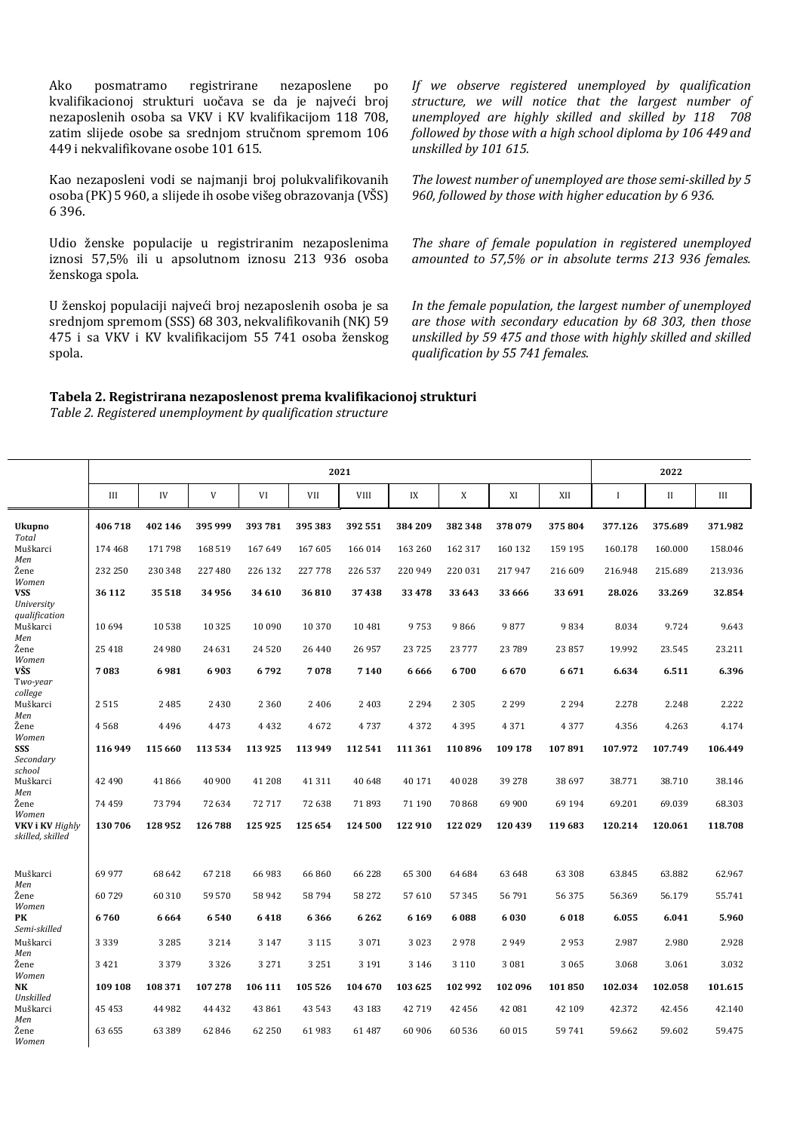Ako posmatramo registrirane nezaposlene po kvalifikacionoj strukturi uočava se da je najveći broj nezaposlenih osoba sa VKV i KV kvalifikacijom 118 708, zatim slijede osobe sa srednjom stručnom spremom 106 449 i nekvalifikovane osobe 101 615.

Kao nezaposleni vodi se najmanji broj polukvalifikovanih osoba (PK) 5 960, a slijede ih osobe višeg obrazovanja (VŠS) 6 396.

Udio ženske populacije u registriranim nezaposlenima iznosi 57,5% ili u apsolutnom iznosu 213 936 osoba ženskoga spola.

U ženskoj populaciji najveći broj nezaposlenih osoba je sa srednjom spremom (SSS) 68 303, nekvalifikovanih (NK) 59 475 i sa VKV i KV kvalifikacijom 55 741 osoba ženskog spola.

*If we observe registered unemployed by qualification*  structure, we will notice that the largest number of *unemployed are highly skilled and skilled by 118 708 followed by those with a high school diploma by 106 449 and unskilled by 101 615.*

The lowest number of unemployed are those semi-skilled by 5 960, followed by those with higher education by 6 936.

The share of female population in registered unemployed *amounted to 57,5% or in absolute terms 213 936 females.*

In the female population, the largest number of unemployed *are those with secondary education by 68 303, then those unskilled by 59 475 and those with highly skilled and skilled qualification by 55 741 females.*

## **Tabela 2. Registrirana nezaposlenost prema kvalifikacionoj strukturi**

Table 2. Registered unemployment by qualification structure

|                                            | 2021    |          |         |         |          |             |         |          |          | 2022    |              |             |         |
|--------------------------------------------|---------|----------|---------|---------|----------|-------------|---------|----------|----------|---------|--------------|-------------|---------|
|                                            | Ш       | IV       | V       | VI      | VII      | <b>VIII</b> | IX      | X        | XI       | XII     | $\mathbf{I}$ | $_{\rm II}$ | Ш       |
| Ukupno<br>Total                            | 406718  | 402 146  | 395 999 | 393 781 | 395 383  | 392 551     | 384 209 | 382348   | 378079   | 375804  | 377.126      | 375.689     | 371.982 |
| Muškarci<br>Men                            | 174 468 | 171798   | 168 519 | 167 649 | 167 605  | 166 014     | 163 260 | 162 317  | 160 132  | 159 195 | 160.178      | 160.000     | 158.046 |
| Žene<br>Women                              | 232 250 | 230 348  | 227 480 | 226 132 | 227778   | 226 537     | 220 949 | 220 031  | 217947   | 216 609 | 216.948      | 215.689     | 213.936 |
| <b>VSS</b><br>University<br>qualification  | 36 112  | 35 518   | 34956   | 34 610  | 36810    | 37438       | 33 4 78 | 33 643   | 33 666   | 33 691  | 28.026       | 33.269      | 32.854  |
| Muškarci<br>Men                            | 10694   | 10538    | 10 3 25 | 10 090  | 10 370   | 10 481      | 9753    | 9866     | 9877     | 9834    | 8.034        | 9.724       | 9.643   |
| Žene<br>Women                              | 25 4 18 | 24 980   | 24 631  | 24520   | 26 4 4 0 | 26 957      | 23725   | 23 7 7 7 | 23 7 8 9 | 23 857  | 19.992       | 23.545      | 23.211  |
| VŠS<br>Two-year<br>college                 | 7083    | 6981     | 6903    | 6792    | 7078     | 7140        | 6666    | 6700     | 6670     | 6671    | 6.634        | 6.511       | 6.396   |
| Muškarci<br>Men                            | 2515    | 2485     | 2430    | 2 3 6 0 | 2406     | 2 4 0 3     | 2 2 9 4 | 2 3 0 5  | 2 2 9 9  | 2 2 9 4 | 2.278        | 2.248       | 2.222   |
| Žene<br>Women                              | 4568    | 4496     | 4473    | 4432    | 4672     | 4737        | 4372    | 4395     | 4371     | 4377    | 4.356        | 4.263       | 4.174   |
| SSS<br>Secondary<br>school                 | 116 949 | 115 660  | 113 534 | 113 925 | 113 949  | 112 541     | 111 361 | 110896   | 109 178  | 107891  | 107.972      | 107.749     | 106.449 |
| Muškarci<br>Men                            | 42 490  | 41866    | 40 900  | 41 208  | 41311    | 40 648      | 40 171  | 40 0 28  | 39 278   | 38 697  | 38.771       | 38.710      | 38.146  |
| Žene<br>Women                              | 74459   | 73794    | 72 634  | 72717   | 72 638   | 71893       | 71 190  | 70868    | 69 900   | 69 194  | 69.201       | 69.039      | 68.303  |
| <b>VKV i KV Highly</b><br>skilled, skilled | 130706  | 128952   | 126788  | 125 925 | 125 654  | 124 500     | 122 910 | 122 029  | 120439   | 119683  | 120.214      | 120.061     | 118.708 |
| Muškarci<br>Men                            | 69977   | 68 642   | 67218   | 66 983  | 66860    | 66 228      | 65 300  | 64 684   | 63 648   | 63 308  | 63.845       | 63.882      | 62.967  |
| Žene<br>Women                              | 60729   | 60 310   | 59 570  | 58942   | 58794    | 58 272      | 57610   | 57345    | 56 791   | 56375   | 56.369       | 56.179      | 55.741  |
| PK<br>Semi-skilled                         | 6760    | 6664     | 6540    | 6418    | 6366     | 6262        | 6 1 6 9 | 6088     | 6030     | 6018    | 6.055        | 6.041       | 5.960   |
| Muškarci<br>Men                            | 3339    | 3 2 8 5  | 3 2 1 4 | 3 1 4 7 | 3 1 1 5  | 3 0 7 1     | 3023    | 2978     | 2949     | 2953    | 2.987        | 2.980       | 2.928   |
| Žene<br>Women                              | 3421    | 3 3 7 9  | 3 3 2 6 | 3 2 7 1 | 3 2 5 1  | 3 1 9 1     | 3 1 4 6 | 3 1 1 0  | 3 0 8 1  | 3 0 6 5 | 3.068        | 3.061       | 3.032   |
| NK<br>Unskilled                            | 109 108 | 108 371  | 107278  | 106 111 | 105 526  | 104 670     | 103 625 | 102 992  | 102 096  | 101850  | 102.034      | 102.058     | 101.615 |
| Muškarci<br>Men                            | 45 453  | 44 982   | 44 4 32 | 43 861  | 43 5 43  | 43 183      | 42719   | 42 45 6  | 42 081   | 42 109  | 42.372       | 42.456      | 42.140  |
| Žene<br>Women                              | 63 655  | 63 3 8 9 | 62846   | 62 250  | 61983    | 61 487      | 60 90 6 | 60 536   | 60 015   | 59741   | 59.662       | 59.602      | 59.475  |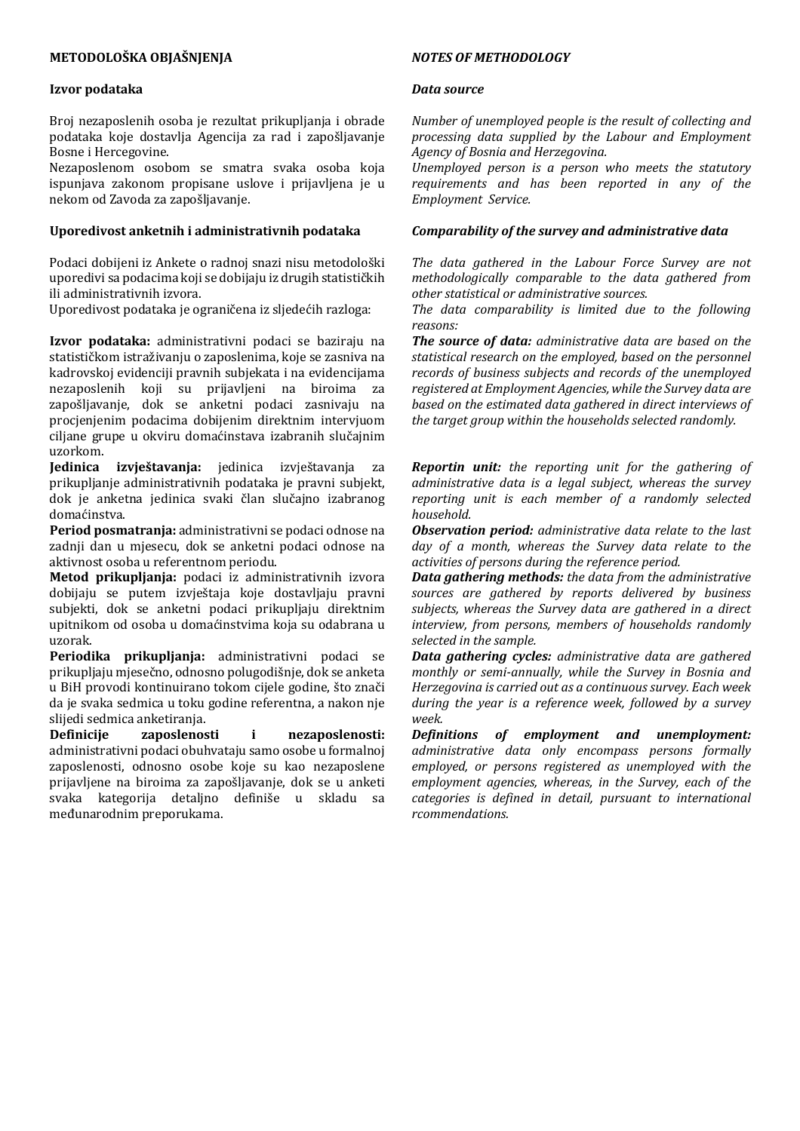## **METODOLOŠKA OBJAŠNJENJA**

#### **Izvor podataka**

Broj nezaposlenih osoba je rezultat prikupljanja i obrade podataka koje dostavlja Agencija za rad i zapošljavanje Bosne i Hercegovine.

Nezaposlenom osobom se smatra svaka osoba koja ispunjava zakonom propisane uslove i prijavljena je u nekom od Zavoda za zapošljavanje.

## Uporedivost anketnih i administrativnih podataka

Podaci dobijeni iz Ankete o radnoj snazi nisu metodološki uporedivi sa podacima koji se dobijaju iz drugih statističkih ili administrativnih izvora.

Uporedivost podataka je ograničena iz sljedećih razloga:

Izvor podataka: administrativni podaci se baziraju na statističkom istraživanju o zaposlenima, koje se zasniva na kadrovskoj evidenciji pravnih subjekata i na evidencijama nezaposlenih koji su prijavljeni na biroima za zapošljavanje, dok se anketni podaci zasnivaju na procjenjenim podacima dobijenim direktnim intervjuom ciljane grupe u okviru domaćinstava izabranih slučajnim uzorkom.

**Jedinica izvieštavanja:** jedinica izvieštavanja za prikupljanje administrativnih podataka je pravni subjekt, dok je anketna jedinica svaki član slučajno izabranog domaćinstva.

Period posmatranja: administrativni se podaci odnose na zadnji dan u mjesecu, dok se anketni podaci odnose na aktivnost osoba u referentnom periodu.

Metod prikupljanja: podaci iz administrativnih izvora dobijaju se putem izvještaja koje dostavljaju pravni subjekti, dok se anketni podaci prikupljaju direktnim upitnikom od osoba u domaćinstvima koja su odabrana u uzorak.

**Periodika prikupliania:** administrativni podaci se prikupljaju mjesečno, odnosno polugodišnje, dok se anketa u BiH provodi kontinuirano tokom cijele godine, što znači da je svaka sedmica u toku godine referentna, a nakon nje slijedi sedmica anketiranja.

**Definicije zaposlenosti i nezaposlenosti:** administrativni podaci obuhvataju samo osobe u formalnoj zaposlenosti, odnosno osobe koje su kao nezaposlene prijavljene na biroima za zapošljavanje, dok se u anketi svaka kategorija detaljno definiše u skladu sa međunarodnim preporukama.

#### *NOTES OF METHODOLOGY*

#### *Data source*

*Number of unemployed people is the result of collecting and processing data supplied by the Labour and Employment Agency of Bosnia and Herzegovina.* 

*Unemployed person is a person who meets the statutory*  requirements and has been reported in any of the *Employment Service.*

#### *Comparability of the survey and administrative data*

The data gathered in the Labour Force Survey are not *methodologically comparable to the data gathered from other statistical or administrative sources.*

The data comparability is limited due to the following *reasons:*

*The source of data: administrative data are based on the* statistical research on the employed, based on the personnel *records of business subjects and records of the unemployed registered at Employment Agencies, while the Survey data are*  based on the estimated data gathered in direct interviews of the target group within the households selected randomly.

*Reportin unit: the reporting unit for the gathering of administrative data is a legal subject, whereas the survey reporting unit is each member of a randomly selected household.*

**Observation period:** administrative data relate to the last day of a month, whereas the Survey data relate to the *activities of persons during the reference period.* 

*Data gathering methods: the data from the administrative* sources are gathered by reports delivered by business subjects, whereas the Survey data are gathered in a direct *interview, from persons, members of households randomly selected in the sample.*

*Data gathering cycles: administrative data are gathered monthly or semi-annually, while the Survey in Bosnia and Herzegovina is carried out as a continuous survey. Each week* during the year is a reference week, followed by a survey *week.*

*Definitions of employment and unemployment: administrative data only encompass persons formally*  employed, or persons registered as unemployed with the employment agencies, whereas, in the Survey, each of the *categories is defined in detail, pursuant to international rcommendations.*